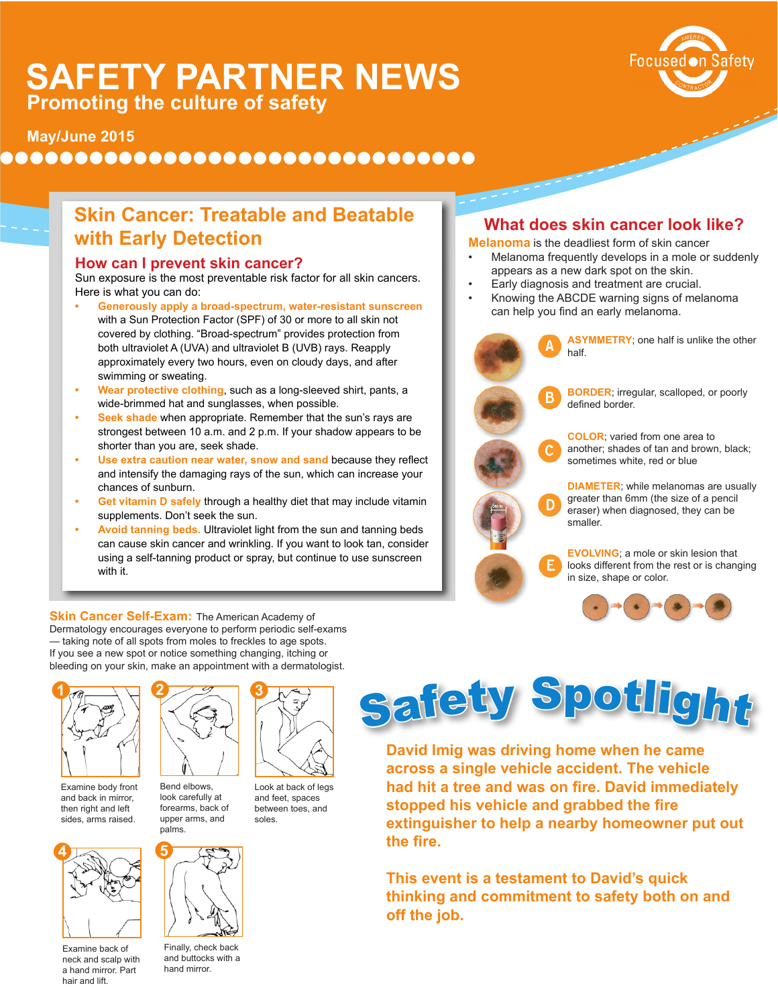# **SAFETY PARTNER NEWS Promoting the culture of safety**



### ................................

## **Skin Cancer: Treatable and Beatable with Early Detection**

#### **How can I prevent skin cancer?**

Sun exposure is the most preventable risk factor for all skin cancers. Here is what you can do:

- **• Generously apply a broad-spectrum, water-resistant sunscreen**  with a Sun Protection Factor (SPF) of 30 or more to all skin not covered by clothing. "Broad-spectrum" provides protection from both ultraviolet A (UVA) and ultraviolet B (UVB) rays. Reapply approximately every two hours, even on cloudy days, and after swimming or sweating.
- **• Wear protective clothing**, such as a long-sleeved shirt, pants, a wide-brimmed hat and sunglasses, when possible.
- **• Seek shade** when appropriate. Remember that the sun's rays are strongest between 10 a.m. and 2 p.m. If your shadow appears to be shorter than you are, seek shade.
- **• Use extra caution near water, snow and sand** because they reflect and intensify the damaging rays of the sun, which can increase your chances of sunburn.
- **• Get vitamin D safely** through a healthy diet that may include vitamin supplements. Don't seek the sun.
- **• Avoid tanning beds.** Ultraviolet light from the sun and tanning beds can cause skin cancer and wrinkling. If you want to look tan, consider using a self-tanning product or spray, but continue to use sunscreen with it.

### **What does skin cancer look like?**

**Melanoma** is the deadliest form of skin cancer

- Melanoma frequently develops in a mole or suddenly appears as a new dark spot on the skin.
- Early diagnosis and treatment are crucial.
- Knowing the ABCDE warning signs of melanoma can help you find an early melanoma.



**ASYMMETRY**; one half is unlike the other half.

Focused on Safety

**BORDER**; irregular, scalloped, or poorly defined border.

**COLOR**; varied from one area to another; shades of tan and brown, black; sometimes white, red or blue

**DIAMETER**; while melanomas are usually greater than 6mm (the size of a pencil eraser) when diagnosed, they can be smaller.

**EVOLVING**; a mole or skin lesion that looks different from the rest or is changing in size, shape or color.



**Skin Cancer Self-Exam: The American Academy of** Dermatology encourages everyone to perform periodic self-exams — taking note of all spots from moles to freckles to age spots. If you see a new spot or notice something changing, itching or bleeding on your skin, make an appointment with a dermatologist.



Examine body front and back in mirror, then right and left sides, arms raised.



Examine back of neck and scalp with a hand mirror. Part hair and lift.



Bend elbows, look carefully at forearms, back of upper arms, and palms.



Finally, check back and buttocks with a hand mirror.



Look at back of legs and feet, spaces between toes, and soles.



**David Imig was driving home when he came across a single vehicle accident. The vehicle had hit a tree and was on fire. David immediately stopped his vehicle and grabbed the fire extinguisher to help a nearby homeowner put out the fire.** 

**This event is a testament to David's quick thinking and commitment to safety both on and off the job.**